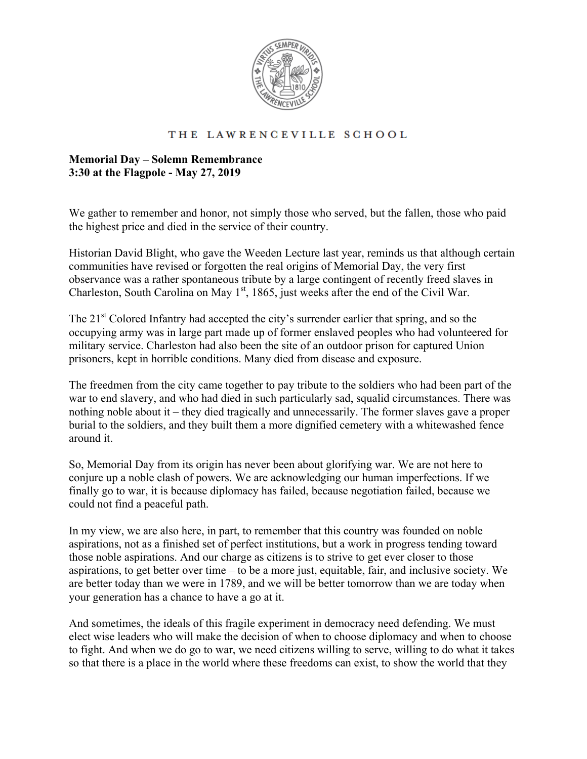

## THE LAWRENCEVILLE SCHOOL

## **Memorial Day – Solemn Remembrance 3:30 at the Flagpole - May 27, 2019**

We gather to remember and honor, not simply those who served, but the fallen, those who paid the highest price and died in the service of their country.

Historian David Blight, who gave the Weeden Lecture last year, reminds us that although certain communities have revised or forgotten the real origins of Memorial Day, the very first observance was a rather spontaneous tribute by a large contingent of recently freed slaves in Charleston, South Carolina on May  $1<sup>st</sup>$ , 1865, just weeks after the end of the Civil War.

The  $21<sup>st</sup>$  Colored Infantry had accepted the city's surrender earlier that spring, and so the occupying army was in large part made up of former enslaved peoples who had volunteered for military service. Charleston had also been the site of an outdoor prison for captured Union prisoners, kept in horrible conditions. Many died from disease and exposure.

The freedmen from the city came together to pay tribute to the soldiers who had been part of the war to end slavery, and who had died in such particularly sad, squalid circumstances. There was nothing noble about it – they died tragically and unnecessarily. The former slaves gave a proper burial to the soldiers, and they built them a more dignified cemetery with a whitewashed fence around it.

So, Memorial Day from its origin has never been about glorifying war. We are not here to conjure up a noble clash of powers. We are acknowledging our human imperfections. If we finally go to war, it is because diplomacy has failed, because negotiation failed, because we could not find a peaceful path.

In my view, we are also here, in part, to remember that this country was founded on noble aspirations, not as a finished set of perfect institutions, but a work in progress tending toward those noble aspirations. And our charge as citizens is to strive to get ever closer to those aspirations, to get better over time – to be a more just, equitable, fair, and inclusive society. We are better today than we were in 1789, and we will be better tomorrow than we are today when your generation has a chance to have a go at it.

And sometimes, the ideals of this fragile experiment in democracy need defending. We must elect wise leaders who will make the decision of when to choose diplomacy and when to choose to fight. And when we do go to war, we need citizens willing to serve, willing to do what it takes so that there is a place in the world where these freedoms can exist, to show the world that they